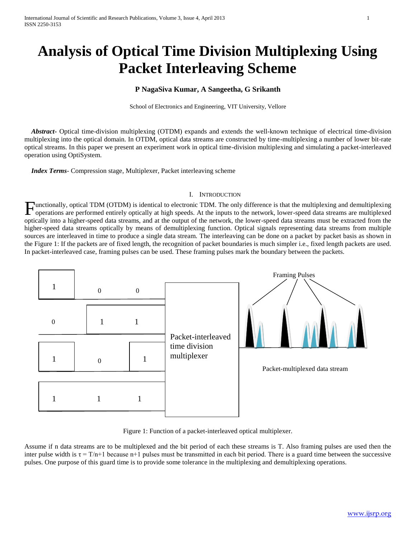# **Analysis of Optical Time Division Multiplexing Using Packet Interleaving Scheme**

# **P NagaSiva Kumar, A Sangeetha, G Srikanth**

School of Electronics and Engineering, VIT University, Vellore

 *Abstract***-** Optical time-division multiplexing (OTDM) expands and extends the well-known technique of electrical time-division multiplexing into the optical domain. In OTDM, optical data streams are constructed by time-multiplexing a number of lower bit-rate optical streams. In this paper we present an experiment work in optical time-division multiplexing and simulating a packet-interleaved operation using OptiSystem.

 *Index Terms*- Compression stage, Multiplexer, Packet interleaving scheme

### I. INTRODUCTION

Functionally, optical TDM (OTDM) is identical to electronic TDM. The only difference is that the multiplexing and demultiplexing operations are performed entirely optically at high speeds. At the inputs to the network, low operations are performed entirely optically at high speeds. At the inputs to the network, lower-speed data streams are multiplexed optically into a higher-speed data streams, and at the output of the network, the lower-speed data streams must be extracted from the higher-speed data streams optically by means of demultiplexing function. Optical signals representing data streams from multiple sources are interleaved in time to produce a single data stream. The interleaving can be done on a packet by packet basis as shown in the Figure 1: If the packets are of fixed length, the recognition of packet boundaries is much simpler i.e., fixed length packets are used. In packet-interleaved case, framing pulses can be used. These framing pulses mark the boundary between the packets.



Figure 1: Function of a packet-interleaved optical multiplexer.

Assume if n data streams are to be multiplexed and the bit period of each these streams is T. Also framing pulses are used then the inter pulse width is  $\tau = T/n+1$  because n+1 pulses must be transmitted in each bit period. There is a guard time between the successive pulses. One purpose of this guard time is to provide some tolerance in the multiplexing and demultiplexing operations.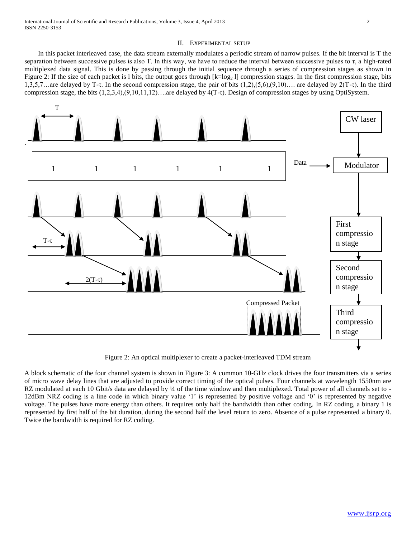## II. EXPERIMENTAL SETUP

 In this packet interleaved case, the data stream externally modulates a periodic stream of narrow pulses. If the bit interval is T the separation between successive pulses is also T. In this way, we have to reduce the interval between successive pulses to  $\tau$ , a high-rated multiplexed data signal. This is done by passing through the initial sequence through a series of compression stages as shown in Figure 2: If the size of each packet is 1 bits, the output goes through  $[k = \log_2 1]$  compression stages. In the first compression stage, bits 1,3,5,7…are delayed by T-τ. In the second compression stage, the pair of bits  $(1,2)$ , $(5,6)$ , $(9,10)$ …. are delayed by  $2(T-\tau)$ . In the third compression stage, the bits (1,2,3,4),(9,10,11,12)….are delayed by 4(T-τ). Design of compression stages by using OptiSystem.



Figure 2: An optical multiplexer to create a packet-interleaved TDM stream

A block schematic of the four channel system is shown in Figure 3: A common 10-GHz clock drives the four transmitters via a series of micro wave delay lines that are adjusted to provide correct timing of the optical pulses. Four channels at wavelength 1550nm are RZ modulated at each 10 Gbit/s data are delayed by ¼ of the time window and then multiplexed. Total power of all channels set to -12dBm NRZ coding is a line code in which binary value '1' is represented by positive voltage and '0' is represented by negative voltage. The pulses have more energy than others. It requires only half the bandwidth than other coding. In RZ coding, a binary 1 is represented by first half of the bit duration, during the second half the level return to zero. Absence of a pulse represented a binary 0. Twice the bandwidth is required for RZ coding.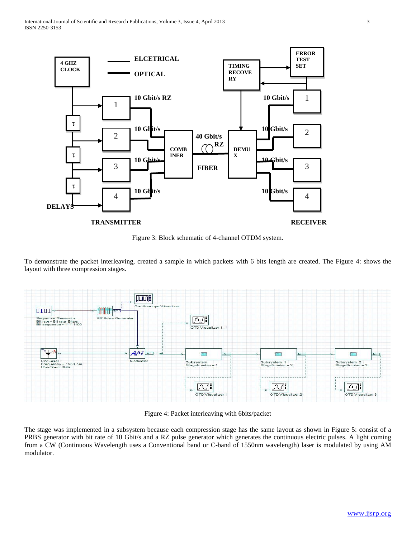

Figure 3: Block schematic of 4-channel OTDM system.

To demonstrate the packet interleaving, created a sample in which packets with 6 bits length are created. The Figure 4: shows the layout with three compression stages.



Figure 4: Packet interleaving with 6bits/packet

The stage was implemented in a subsystem because each compression stage has the same layout as shown in Figure 5: consist of a PRBS generator with bit rate of 10 Gbit/s and a RZ pulse generator which generates the continuous electric pulses. A light coming from a CW (Continuous Wavelength uses a Conventional band or C-band of 1550nm wavelength) laser is modulated by using AM modulator.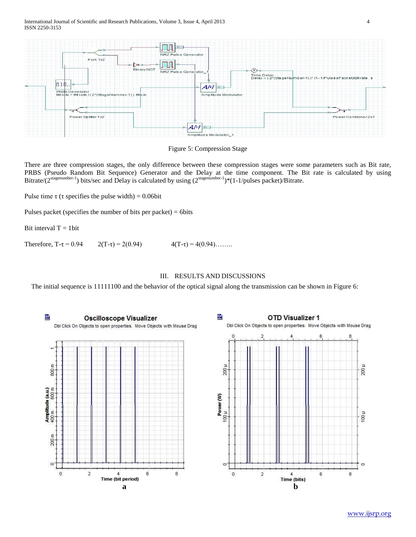



There are three compression stages, the only difference between these compression stages were some parameters such as Bit rate, PRBS (Pseudo Random Bit Sequence) Generator and the Delay at the time component. The Bit rate is calculated by using Bitrate/(2<sup>stagenumber-1</sup>) bits/sec and Delay is calculated by using (2<sup>stagenumber-1</sup>)\*(1-1/pulses packet)/Bitrate.

Pulse time  $\tau$  ( $\tau$  specifies the pulse width) = 0.06bit

Pulses packet (specifies the number of bits per packet)  $= 6$ bits

Bit interval  $T = 1$ bit

Therefore, T-τ = 0.94  $2(T-\tau) = 2(0.94)$   $4(T-\tau) = 4(0.94)$ ……..

# III. RESULTS AND DISCUSSIONS

The initial sequence is 11111100 and the behavior of the optical signal along the transmission can be shown in Figure 6: